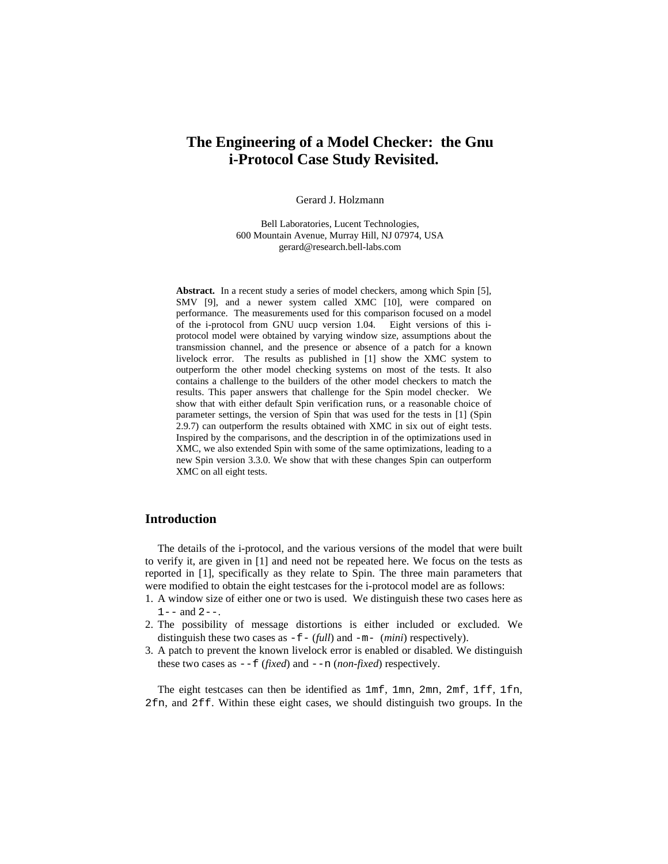# **The Engineering of a Model Checker: the Gnu i-Protocol Case Study Revisited.**

Gerard J. Holzmann

Bell Laboratories, Lucent Technologies, 600 Mountain Avenue, Murray Hill, NJ 07974, USA gerard@research.bell-labs.com

**Abstract.** In a recent study a series of model checkers, among which Spin [5], SMV [9], and a newer system called XMC [10], were compared on performance. The measurements used for this comparison focused on a model of the i-protocol from GNU uucp version 1.04. Eight versions of this iprotocol model were obtained by varying window size, assumptions about the transmission channel, and the presence or absence of a patch for a known livelock error. The results as published in [1] show the XMC system to outperform the other model checking systems on most of the tests. It also contains a challenge to the builders of the other model checkers to match the results. This paper answers that challenge for the Spin model checker. We show that with either default Spin verification runs, or a reasonable choice of parameter settings, the version of Spin that was used for the tests in [1] (Spin 2.9.7) can outperform the results obtained with XMC in six out of eight tests. Inspired by the comparisons, and the description in of the optimizations used in XMC, we also extended Spin with some of the same optimizations, leading to a new Spin version 3.3.0. We show that with these changes Spin can outperform XMC on all eight tests.

## **Introduction**

The details of the i-protocol, and the various versions of the model that were built to verify it, are given in [1] and need not be repeated here. We focus on the tests as reported in [1], specifically as they relate to Spin. The three main parameters that were modified to obtain the eight testcases for the i-protocol model are as follows:

- 1. A window size of either one or two is used. We distinguish these two cases here as  $1 - -$  and  $2 - -$ .
- 2. The possibility of message distortions is either included or excluded. We distinguish these two cases as -f- (*full*) and -m- (*mini*) respectively).
- 3. A patch to prevent the known livelock error is enabled or disabled. We distinguish these two cases as --f (*fixed*) and --n (*non-fixed*) respectively.

The eight testcases can then be identified as 1mf, 1mn, 2mn, 2mf, 1ff, 1fn, 2fn, and 2ff. Within these eight cases, we should distinguish two groups. In the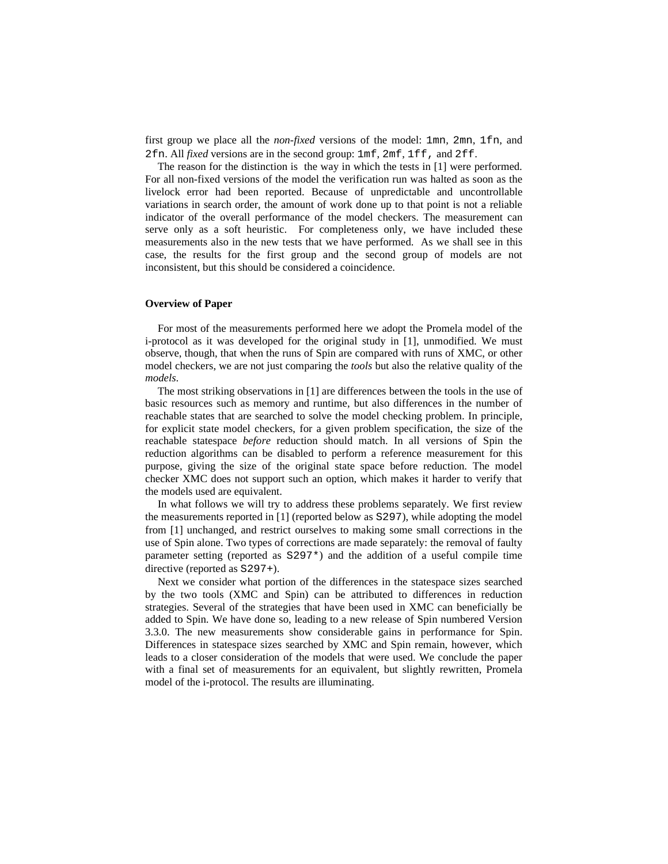first group we place all the *non-fixed* versions of the model: 1mn, 2mn, 1fn, and 2fn. All *fixed* versions are in the second group: 1mf, 2mf, 1ff, and 2ff.

The reason for the distinction is the way in which the tests in [1] were performed. For all non-fixed versions of the model the verification run was halted as soon as the livelock error had been reported. Because of unpredictable and uncontrollable variations in search order, the amount of work done up to that point is not a reliable indicator of the overall performance of the model checkers. The measurement can serve only as a soft heuristic. For completeness only, we have included these measurements also in the new tests that we have performed. As we shall see in this case, the results for the first group and the second group of models are not inconsistent, but this should be considered a coincidence.

#### **Overview of Paper**

For most of the measurements performed here we adopt the Promela model of the i-protocol as it was developed for the original study in [1], unmodified. We must observe, though, that when the runs of Spin are compared with runs of XMC, or other model checkers, we are not just comparing the *tools* but also the relative quality of the *models*.

The most striking observations in [1] are differences between the tools in the use of basic resources such as memory and runtime, but also differences in the number of reachable states that are searched to solve the model checking problem. In principle, for explicit state model checkers, for a given problem specification, the size of the reachable statespace *before* reduction should match. In all versions of Spin the reduction algorithms can be disabled to perform a reference measurement for this purpose, giving the size of the original state space before reduction. The model checker XMC does not support such an option, which makes it harder to verify that the models used are equivalent.

In what follows we will try to address these problems separately. We first review the measurements reported in [1] (reported below as S297), while adopting the model from [1] unchanged, and restrict ourselves to making some small corrections in the use of Spin alone. Two types of corrections are made separately: the removal of faulty parameter setting (reported as  $S297*$ ) and the addition of a useful compile time directive (reported as S297+).

Next we consider what portion of the differences in the statespace sizes searched by the two tools (XMC and Spin) can be attributed to differences in reduction strategies. Several of the strategies that have been used in XMC can beneficially be added to Spin. We have done so, leading to a new release of Spin numbered Version 3.3.0. The new measurements show considerable gains in performance for Spin. Differences in statespace sizes searched by XMC and Spin remain, however, which leads to a closer consideration of the models that were used. We conclude the paper with a final set of measurements for an equivalent, but slightly rewritten, Promela model of the i-protocol. The results are illuminating.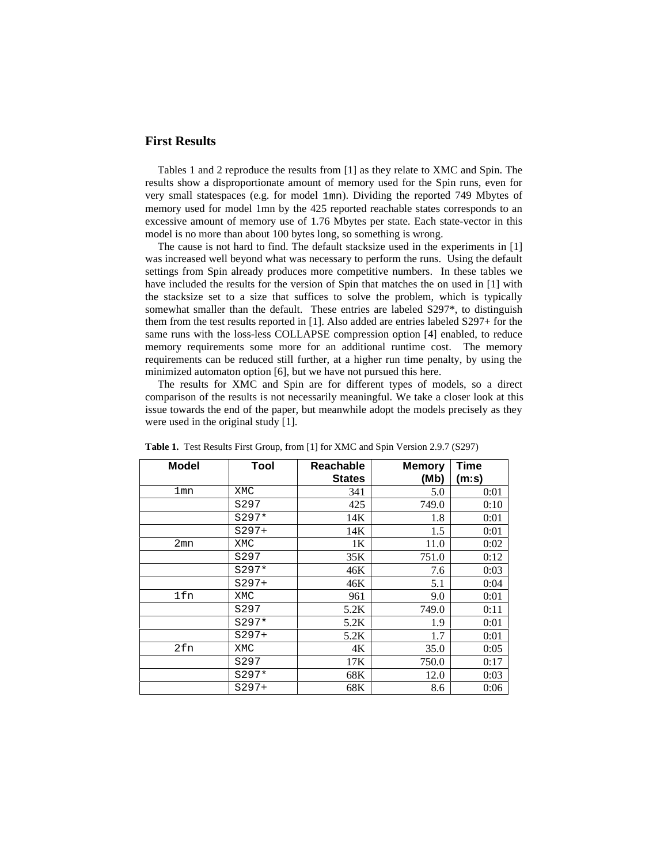### **First Results**

Tables 1 and 2 reproduce the results from [1] as they relate to XMC and Spin. The results show a disproportionate amount of memory used for the Spin runs, even for very small statespaces (e.g. for model 1mn). Dividing the reported 749 Mbytes of memory used for model 1mn by the 425 reported reachable states corresponds to an excessive amount of memory use of 1.76 Mbytes per state. Each state-vector in this model is no more than about 100 bytes long, so something is wrong.

The cause is not hard to find. The default stacksize used in the experiments in [1] was increased well beyond what was necessary to perform the runs. Using the default settings from Spin already produces more competitive numbers. In these tables we have included the results for the version of Spin that matches the on used in [1] with the stacksize set to a size that suffices to solve the problem, which is typically somewhat smaller than the default. These entries are labeled S297\*, to distinguish them from the test results reported in [1]. Also added are entries labeled S297+ for the same runs with the loss-less COLLAPSE compression option [4] enabled, to reduce memory requirements some more for an additional runtime cost. The memory requirements can be reduced still further, at a higher run time penalty, by using the minimized automaton option [6], but we have not pursued this here.

The results for XMC and Spin are for different types of models, so a direct comparison of the results is not necessarily meaningful. We take a closer look at this issue towards the end of the paper, but meanwhile adopt the models precisely as they were used in the original study [1].

| Model | Tool    | Reachable<br><b>States</b> | <b>Memory</b><br>(Mb) | Time<br>(m:s) |
|-------|---------|----------------------------|-----------------------|---------------|
| 1mn   | XMC     | 341                        | 5.0                   | 0:01          |
|       | S297    | 425                        | 749.0                 | 0:10          |
|       | $S297*$ | 14K                        | 1.8                   | 0:01          |
|       | $S297+$ | 14K                        | 1.5                   | 0:01          |
| 2mn   | XMC     | 1K                         | 11.0                  | 0:02          |
|       | S297    | 35K                        | 751.0                 | 0:12          |
|       | $S297*$ | 46K                        | 7.6                   | 0:03          |
|       | $S297+$ | 46K                        | 5.1                   | 0:04          |
| 1fn   | XMC     | 961                        | 9.0                   | 0:01          |
|       | S297    | 5.2K                       | 749.0                 | 0:11          |
|       | $S297*$ | 5.2K                       | 1.9                   | 0:01          |
|       | $S297+$ | 5.2K                       | 1.7                   | 0:01          |
| 2fn   | XMC     | 4K                         | 35.0                  | 0:05          |
|       | S297    | 17K                        | 750.0                 | 0:17          |
|       | $S297*$ | 68K                        | 12.0                  | 0:03          |
|       | $S297+$ | 68K                        | 8.6                   | 0:06          |

**Table 1.** Test Results First Group, from [1] for XMC and Spin Version 2.9.7 (S297)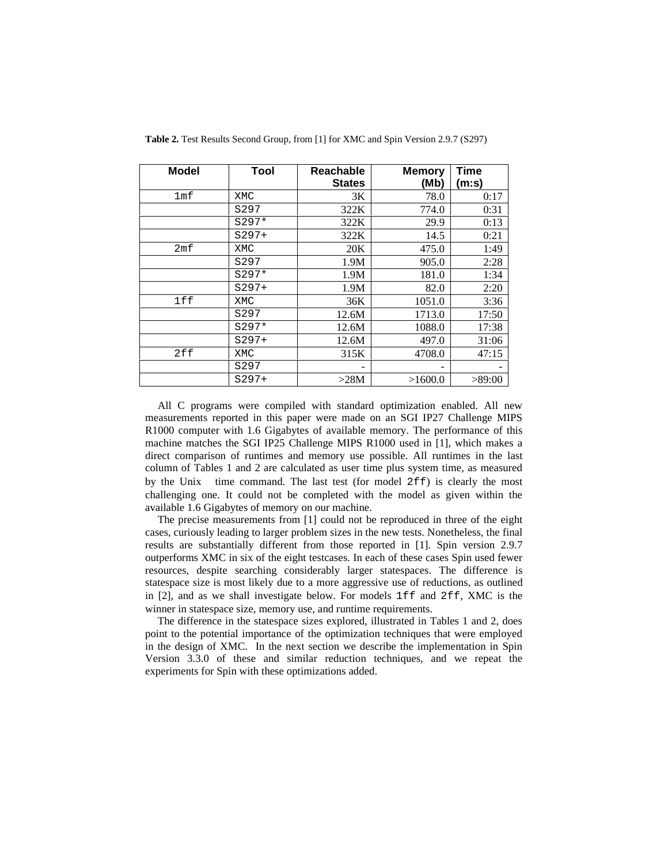| <b>Model</b>     | Tool    | <b>Reachable</b><br><b>States</b> | <b>Memory</b><br>(Mb) | Time<br>(m:s) |
|------------------|---------|-----------------------------------|-----------------------|---------------|
| 1 <sub>m</sub> f | XMC     | 3K                                | 78.0                  | 0:17          |
|                  | S297    | 322K                              | 774.0                 | 0:31          |
|                  | $S297*$ | 322K                              | 29.9                  | 0:13          |
|                  | $S297+$ | 322K                              | 14.5                  | 0:21          |
| 2m <sub>f</sub>  | XMC     | 20K                               | 475.0                 | 1:49          |
|                  | S297    | 1.9M                              | 905.0                 | 2:28          |
|                  | $S297*$ | 1.9M                              | 181.0                 | 1:34          |
|                  | $S297+$ | 1.9M                              | 82.0                  | 2:20          |
| 1ff              | XMC     | 36K                               | 1051.0                | 3:36          |
|                  | S297    | 12.6M                             | 1713.0                | 17:50         |
|                  | $S297*$ | 12.6M                             | 1088.0                | 17:38         |
|                  | $S297+$ | 12.6M                             | 497.0                 | 31:06         |
| 2ff              | XMC     | 315K                              | 4708.0                | 47:15         |
|                  | S297    | -                                 | ۰                     |               |
|                  | $S297+$ | >28M                              | >1600.0               | >89:00        |

**Table 2.** Test Results Second Group, from [1] for XMC and Spin Version 2.9.7 (S297)

All C programs were compiled with standard optimization enabled. All new measurements reported in this paper were made on an SGI IP27 Challenge MIPS R1000 computer with 1.6 Gigabytes of available memory. The performance of this machine matches the SGI IP25 Challenge MIPS R1000 used in [1], which makes a direct comparison of runtimes and memory use possible. All runtimes in the last column of Tables 1 and 2 are calculated as user time plus system time, as measured by the Unix $\circledR$  time command. The last test (for model 2ff) is clearly the most challenging one. It could not be completed with the model as given within the available 1.6 Gigabytes of memory on our machine.

The precise measurements from [1] could not be reproduced in three of the eight cases, curiously leading to larger problem sizes in the new tests. Nonetheless, the final results are substantially different from those reported in [1]. Spin version 2.9.7 outperforms XMC in six of the eight testcases. In each of these cases Spin used fewer resources, despite searching considerably larger statespaces. The difference is statespace size is most likely due to a more aggressive use of reductions, as outlined in [2], and as we shall investigate below. For models 1ff and 2ff, XMC is the winner in statespace size, memory use, and runtime requirements.

The difference in the statespace sizes explored, illustrated in Tables 1 and 2, does point to the potential importance of the optimization techniques that were employed in the design of XMC. In the next section we describe the implementation in Spin Version 3.3.0 of these and similar reduction techniques, and we repeat the experiments for Spin with these optimizations added.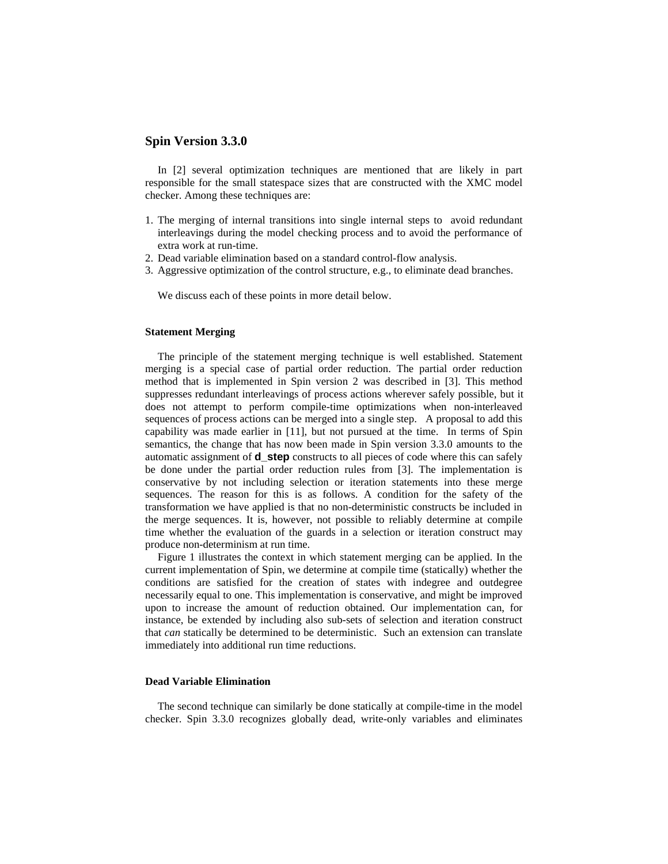## **Spin Version 3.3.0**

In [2] several optimization techniques are mentioned that are likely in part responsible for the small statespace sizes that are constructed with the XMC model checker. Among these techniques are:

- 1. The merging of internal transitions into single internal steps to avoid redundant interleavings during the model checking process and to avoid the performance of extra work at run-time.
- 2. Dead variable elimination based on a standard control-flow analysis.
- 3. Aggressive optimization of the control structure, e.g., to eliminate dead branches.

We discuss each of these points in more detail below.

#### **Statement Merging**

The principle of the statement merging technique is well established. Statement merging is a special case of partial order reduction. The partial order reduction method that is implemented in Spin version 2 was described in [3]. This method suppresses redundant interleavings of process actions wherever safely possible, but it does not attempt to perform compile-time optimizations when non-interleaved sequences of process actions can be merged into a single step. A proposal to add this capability was made earlier in [11], but not pursued at the time. In terms of Spin semantics, the change that has now been made in Spin version 3.3.0 amounts to the automatic assignment of **d\_step** constructs to all pieces of code where this can safely be done under the partial order reduction rules from [3]. The implementation is conservative by not including selection or iteration statements into these merge sequences. The reason for this is as follows. A condition for the safety of the transformation we have applied is that no non-deterministic constructs be included in the merge sequences. It is, however, not possible to reliably determine at compile time whether the evaluation of the guards in a selection or iteration construct may produce non-determinism at run time.

Figure 1 illustrates the context in which statement merging can be applied. In the current implementation of Spin, we determine at compile time (statically) whether the conditions are satisfied for the creation of states with indegree and outdegree necessarily equal to one. This implementation is conservative, and might be improved upon to increase the amount of reduction obtained. Our implementation can, for instance, be extended by including also sub-sets of selection and iteration construct that *can* statically be determined to be deterministic. Such an extension can translate immediately into additional run time reductions.

#### **Dead Variable Elimination**

The second technique can similarly be done statically at compile-time in the model checker. Spin 3.3.0 recognizes globally dead, write-only variables and eliminates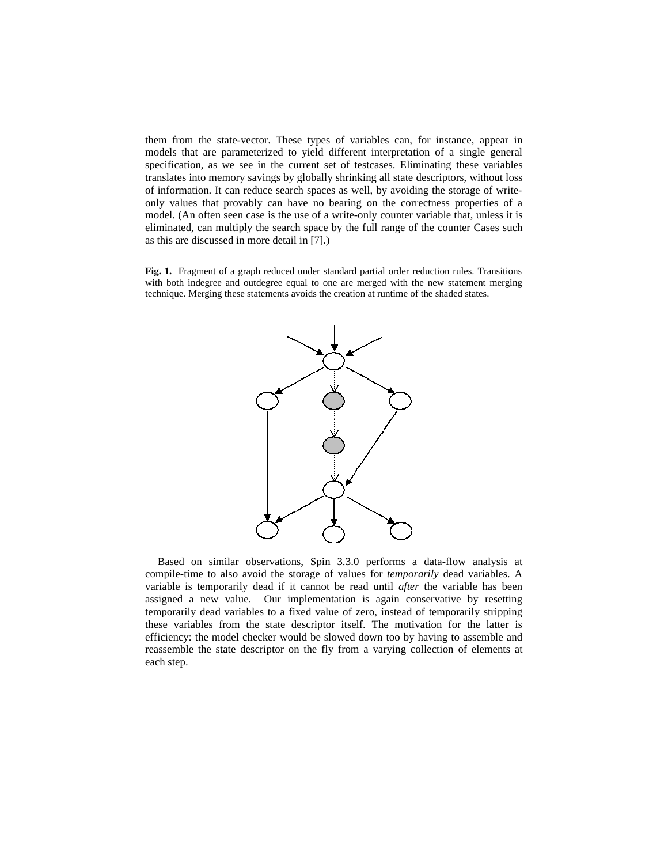them from the state-vector. These types of variables can, for instance, appear in models that are parameterized to yield different interpretation of a single general specification, as we see in the current set of testcases. Eliminating these variables translates into memory savings by globally shrinking all state descriptors, without loss of information. It can reduce search spaces as well, by avoiding the storage of writeonly values that provably can have no bearing on the correctness properties of a model. (An often seen case is the use of a write-only counter variable that, unless it is eliminated, can multiply the search space by the full range of the counter Cases such as this are discussed in more detail in [7].)

**Fig. 1.** Fragment of a graph reduced under standard partial order reduction rules. Transitions with both indegree and outdegree equal to one are merged with the new statement merging technique. Merging these statements avoids the creation at runtime of the shaded states.



Based on similar observations, Spin 3.3.0 performs a data-flow analysis at compile-time to also avoid the storage of values for *temporarily* dead variables. A variable is temporarily dead if it cannot be read until *after* the variable has been assigned a new value. Our implementation is again conservative by resetting temporarily dead variables to a fixed value of zero, instead of temporarily stripping these variables from the state descriptor itself. The motivation for the latter is efficiency: the model checker would be slowed down too by having to assemble and reassemble the state descriptor on the fly from a varying collection of elements at each step.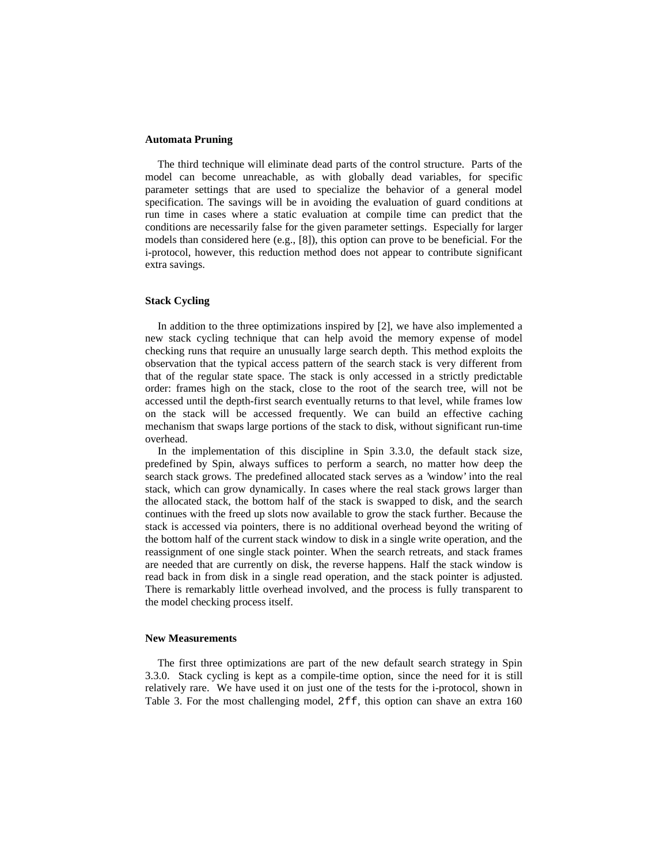#### **Automata Pruning**

The third technique will eliminate dead parts of the control structure. Parts of the model can become unreachable, as with globally dead variables, for specific parameter settings that are used to specialize the behavior of a general model specification. The savings will be in avoiding the evaluation of guard conditions at run time in cases where a static evaluation at compile time can predict that the conditions are necessarily false for the given parameter settings. Especially for larger models than considered here (e.g., [8]), this option can prove to be beneficial. For the i-protocol, however, this reduction method does not appear to contribute significant extra savings.

#### **Stack Cycling**

In addition to the three optimizations inspired by [2], we have also implemented a new stack cycling technique that can help avoid the memory expense of model checking runs that require an unusually large search depth. This method exploits the observation that the typical access pattern of the search stack is very different from that of the regular state space. The stack is only accessed in a strictly predictable order: frames high on the stack, close to the root of the search tree, will not be accessed until the depth-first search eventually returns to that level, while frames low on the stack will be accessed frequently. We can build an effective caching mechanism that swaps large portions of the stack to disk, without significant run-time overhead.

In the implementation of this discipline in Spin 3.3.0, the default stack size, predefined by Spin, always suffices to perform a search, no matter how deep the search stack grows. The predefined allocated stack serves as a 'window' into the real stack, which can grow dynamically. In cases where the real stack grows larger than the allocated stack, the bottom half of the stack is swapped to disk, and the search continues with the freed up slots now available to grow the stack further. Because the stack is accessed via pointers, there is no additional overhead beyond the writing of the bottom half of the current stack window to disk in a single write operation, and the reassignment of one single stack pointer. When the search retreats, and stack frames are needed that are currently on disk, the reverse happens. Half the stack window is read back in from disk in a single read operation, and the stack pointer is adjusted. There is remarkably little overhead involved, and the process is fully transparent to the model checking process itself.

#### **New Measurements**

The first three optimizations are part of the new default search strategy in Spin 3.3.0. Stack cycling is kept as a compile-time option, since the need for it is still relatively rare. We have used it on just one of the tests for the i-protocol, shown in Table 3. For the most challenging model, 2ff, this option can shave an extra 160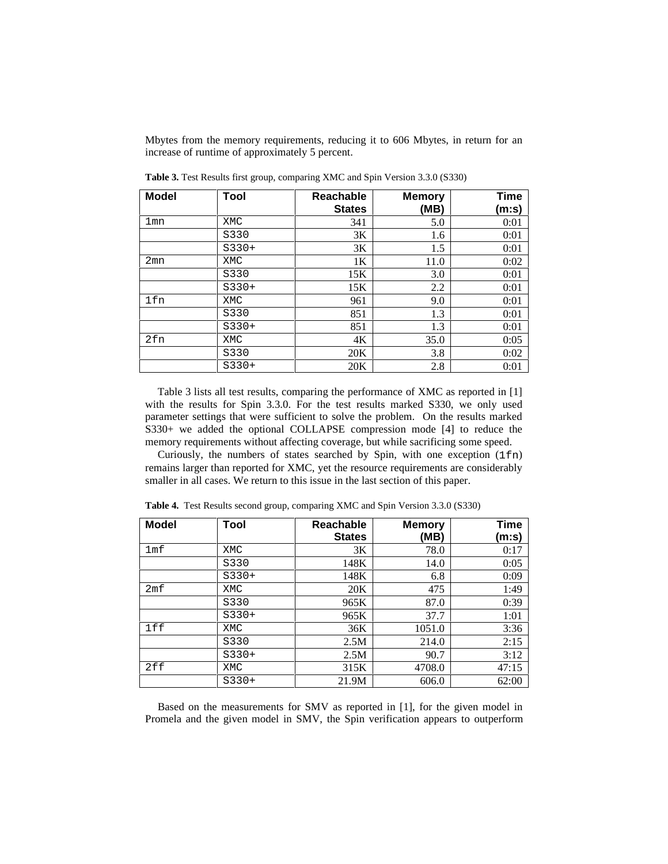Mbytes from the memory requirements, reducing it to 606 Mbytes, in return for an increase of runtime of approximately 5 percent.

| <b>Model</b> | Tool    | <b>Reachable</b><br><b>States</b> | <b>Memory</b><br>(MB) | <b>Time</b><br>(m:s) |
|--------------|---------|-----------------------------------|-----------------------|----------------------|
| 1mn          | XMC     | 341                               | 5.0                   | 0:01                 |
|              | S330    | 3K                                | 1.6                   | 0:01                 |
|              | $S330+$ | 3K                                | 1.5                   | 0:01                 |
| 2mn          | XMC     | 1 <sub>K</sub>                    | 11.0                  | 0:02                 |
|              | S330    | 15K                               | 3.0                   | 0:01                 |
|              | $S330+$ | 15K                               | 2.2                   | 0:01                 |
| 1fn          | XMC     | 961                               | 9.0                   | 0:01                 |
|              | S330    | 851                               | 1.3                   | 0:01                 |
|              | $S330+$ | 851                               | 1.3                   | 0:01                 |
| 2fn          | XMC     | 4K                                | 35.0                  | 0:05                 |
|              | S330    | 20K                               | 3.8                   | 0:02                 |
|              | $S330+$ | 20K                               | 2.8                   | 0:01                 |

**Table 3.** Test Results first group, comparing XMC and Spin Version 3.3.0 (S330)

Table 3 lists all test results, comparing the performance of XMC as reported in [1] with the results for Spin 3.3.0. For the test results marked S330, we only used parameter settings that were sufficient to solve the problem. On the results marked S330+ we added the optional COLLAPSE compression mode [4] to reduce the memory requirements without affecting coverage, but while sacrificing some speed.

Curiously, the numbers of states searched by Spin, with one exception (1fn) remains larger than reported for XMC, yet the resource requirements are considerably smaller in all cases. We return to this issue in the last section of this paper.

| <b>Model</b>     | Tool    | <b>Reachable</b><br><b>States</b> | <b>Memory</b><br>(MB) | Time<br>(m:s) |
|------------------|---------|-----------------------------------|-----------------------|---------------|
| 1 <sub>m</sub> f | XMC     | 3K                                | 78.0                  | 0:17          |
|                  | S330    | 148K                              | 14.0                  | 0:05          |
|                  | $S330+$ | 148K                              | 6.8                   | 0:09          |
| 2m <sub>f</sub>  | XMC     | 20K                               | 475                   | 1:49          |
|                  | S330    | 965K                              | 87.0                  | 0:39          |
|                  | $S330+$ | 965K                              | 37.7                  | 1:01          |
| 1ff              | XMC     | 36K                               | 1051.0                | 3:36          |
|                  | S330    | 2.5M                              | 214.0                 | 2:15          |
|                  | $S330+$ | 2.5M                              | 90.7                  | 3:12          |
| 2ff              | XMC     | 315K                              | 4708.0                | 47:15         |
|                  | $S330+$ | 21.9M                             | 606.0                 | 62:00         |

**Table 4.** Test Results second group, comparing XMC and Spin Version 3.3.0 (S330)

Based on the measurements for SMV as reported in [1], for the given model in Promela and the given model in SMV, the Spin verification appears to outperform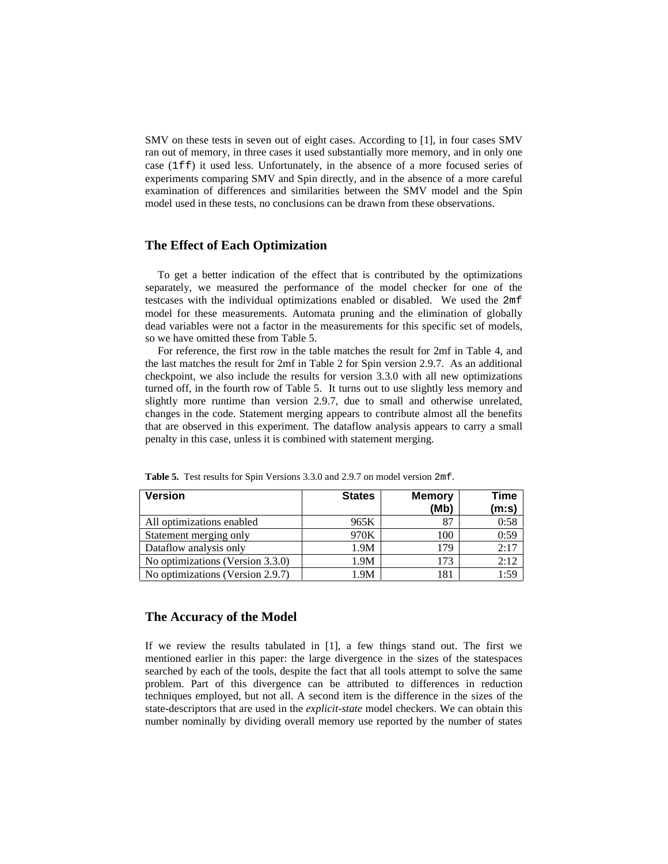SMV on these tests in seven out of eight cases. According to [1], in four cases SMV ran out of memory, in three cases it used substantially more memory, and in only one case (1ff) it used less. Unfortunately, in the absence of a more focused series of experiments comparing SMV and Spin directly, and in the absence of a more careful examination of differences and similarities between the SMV model and the Spin model used in these tests, no conclusions can be drawn from these observations.

## **The Effect of Each Optimization**

To get a better indication of the effect that is contributed by the optimizations separately, we measured the performance of the model checker for one of the testcases with the individual optimizations enabled or disabled. We used the 2mf model for these measurements. Automata pruning and the elimination of globally dead variables were not a factor in the measurements for this specific set of models, so we have omitted these from Table 5.

For reference, the first row in the table matches the result for 2mf in Table 4, and the last matches the result for 2mf in Table 2 for Spin version 2.9.7. As an additional checkpoint, we also include the results for version 3.3.0 with all new optimizations turned off, in the fourth row of Table 5. It turns out to use slightly less memory and slightly more runtime than version 2.9.7, due to small and otherwise unrelated, changes in the code. Statement merging appears to contribute almost all the benefits that are observed in this experiment. The dataflow analysis appears to carry a small penalty in this case, unless it is combined with statement merging.

| <b>Version</b>                   | <b>States</b> | <b>Memory</b><br>(Mb) | Time<br>(m:s) |
|----------------------------------|---------------|-----------------------|---------------|
| All optimizations enabled        | 965K          | 87                    | 0:58          |
| Statement merging only           | 970K          | 100                   | 0:59          |
| Dataflow analysis only           | 1.9M          | 179                   | 2:17          |
| No optimizations (Version 3.3.0) | 1.9M          | 173                   | 2:12          |
| No optimizations (Version 2.9.7) | 1.9M          | 181                   | 1:59          |

**Table 5.** Test results for Spin Versions 3.3.0 and 2.9.7 on model version 2mf.

### **The Accuracy of the Model**

If we review the results tabulated in [1], a few things stand out. The first we mentioned earlier in this paper: the large divergence in the sizes of the statespaces searched by each of the tools, despite the fact that all tools attempt to solve the same problem. Part of this divergence can be attributed to differences in reduction techniques employed, but not all. A second item is the difference in the sizes of the state-descriptors that are used in the *explicit-state* model checkers. We can obtain this number nominally by dividing overall memory use reported by the number of states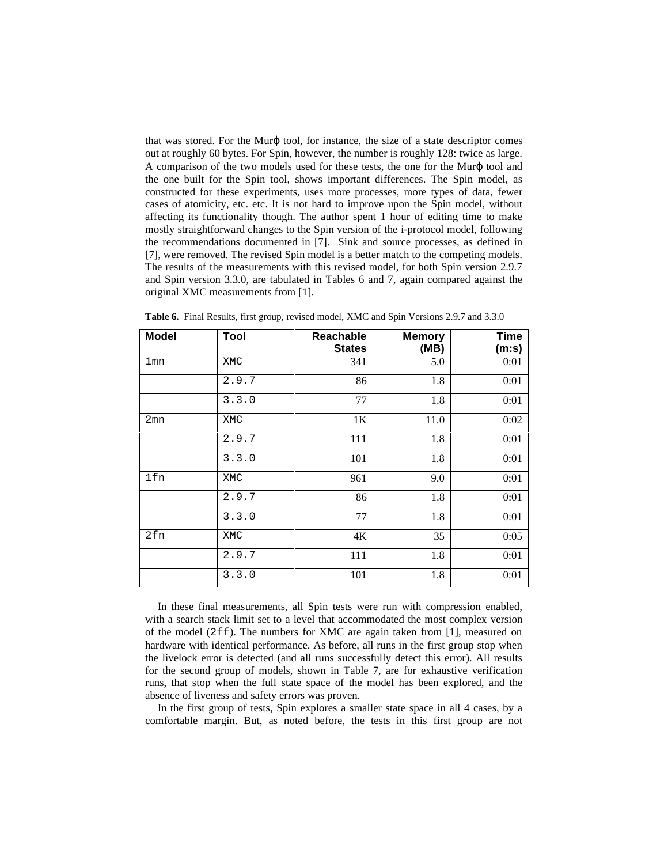that was stored. For the Murϕ tool, for instance, the size of a state descriptor comes out at roughly 60 bytes. For Spin, however, the number is roughly 128: twice as large. A comparison of the two models used for these tests, the one for the Mur $\varphi$  tool and the one built for the Spin tool, shows important differences. The Spin model, as constructed for these experiments, uses more processes, more types of data, fewer cases of atomicity, etc. etc. It is not hard to improve upon the Spin model, without affecting its functionality though. The author spent 1 hour of editing time to make mostly straightforward changes to the Spin version of the i-protocol model, following the recommendations documented in [7]. Sink and source processes, as defined in [7], were removed. The revised Spin model is a better match to the competing models. The results of the measurements with this revised model, for both Spin version 2.9.7 and Spin version 3.3.0, are tabulated in Tables 6 and 7, again compared against the original XMC measurements from [1].

| <b>Model</b> | <b>Tool</b> | <b>Reachable</b> | <b>Memory</b> | Time  |
|--------------|-------------|------------------|---------------|-------|
|              |             | <b>States</b>    | (MB)          | (m:s) |
| 1mn          | XMC         | 341              | 5.0           | 0:01  |
|              | 2.9.7       | 86               | 1.8           | 0:01  |
|              | 3.3.0       | 77               | 1.8           | 0:01  |
| 2mn          | XMC         | 1K               | 11.0          | 0:02  |
|              | 2.9.7       | 111              | 1.8           | 0:01  |
|              | 3.3.0       | 101              | 1.8           | 0:01  |
| 1fn          | XMC         | 961              | 9.0           | 0:01  |
|              | 2.9.7       | 86               | 1.8           | 0:01  |
|              | 3.3.0       | 77               | 1.8           | 0:01  |
| 2fn          | XMC         | $4K$             | 35            | 0:05  |
|              | 2.9.7       | 111              | 1.8           | 0:01  |
|              | 3.3.0       | 101              | 1.8           | 0:01  |

**Table 6.** Final Results, first group, revised model, XMC and Spin Versions 2.9.7 and 3.3.0

In these final measurements, all Spin tests were run with compression enabled, with a search stack limit set to a level that accommodated the most complex version of the model (2ff). The numbers for XMC are again taken from [1], measured on hardware with identical performance. As before, all runs in the first group stop when the livelock error is detected (and all runs successfully detect this error). All results for the second group of models, shown in Table 7, are for exhaustive verification runs, that stop when the full state space of the model has been explored, and the absence of liveness and safety errors was proven.

In the first group of tests, Spin explores a smaller state space in all 4 cases, by a comfortable margin. But, as noted before, the tests in this first group are not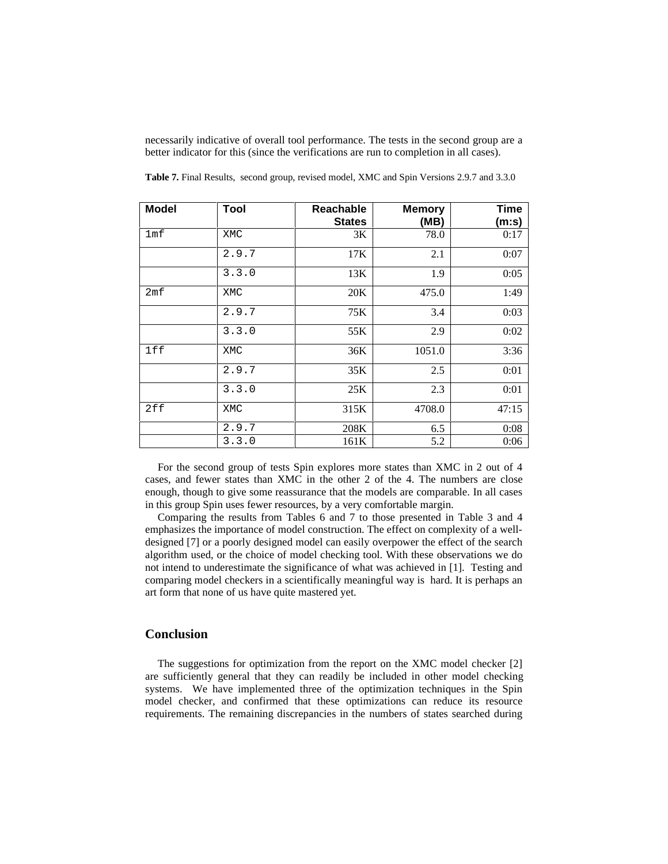necessarily indicative of overall tool performance. The tests in the second group are a better indicator for this (since the verifications are run to completion in all cases).

| <b>Model</b>     | Tool  | <b>Reachable</b><br><b>States</b> | <b>Memory</b><br>(MB) | Time<br>(m:s) |
|------------------|-------|-----------------------------------|-----------------------|---------------|
| 1 <sub>m</sub> f | XMC   | 3K                                | 78.0                  | 0:17          |
|                  | 2.9.7 | 17K                               | 2.1                   | 0:07          |
|                  | 3.3.0 | 13K                               | 1.9                   | 0:05          |
| 2m <sub>f</sub>  | XMC   | 20K                               | 475.0                 | 1:49          |
|                  | 2.9.7 | 75K                               | 3.4                   | 0:03          |
|                  | 3.3.0 | 55K                               | 2.9                   | 0:02          |
| 1ff              | XMC   | 36K                               | 1051.0                | 3:36          |
|                  | 2.9.7 | 35K                               | 2.5                   | 0:01          |
|                  | 3.3.0 | 25K                               | 2.3                   | 0:01          |
| 2ff              | XMC   | 315K                              | 4708.0                | 47:15         |
|                  | 2.9.7 | 208K                              | 6.5                   | 0:08          |
|                  | 3.3.0 | 161K                              | 5.2                   | 0:06          |

**Table 7.** Final Results, second group, revised model, XMC and Spin Versions 2.9.7 and 3.3.0

For the second group of tests Spin explores more states than XMC in 2 out of 4 cases, and fewer states than XMC in the other 2 of the 4. The numbers are close enough, though to give some reassurance that the models are comparable. In all cases in this group Spin uses fewer resources, by a very comfortable margin.

Comparing the results from Tables 6 and 7 to those presented in Table 3 and 4 emphasizes the importance of model construction. The effect on complexity of a welldesigned [7] or a poorly designed model can easily overpower the effect of the search algorithm used, or the choice of model checking tool. With these observations we do not intend to underestimate the significance of what was achieved in [1]. Testing and comparing model checkers in a scientifically meaningful way is hard. It is perhaps an art form that none of us have quite mastered yet.

## **Conclusion**

The suggestions for optimization from the report on the XMC model checker [2] are sufficiently general that they can readily be included in other model checking systems. We have implemented three of the optimization techniques in the Spin model checker, and confirmed that these optimizations can reduce its resource requirements. The remaining discrepancies in the numbers of states searched during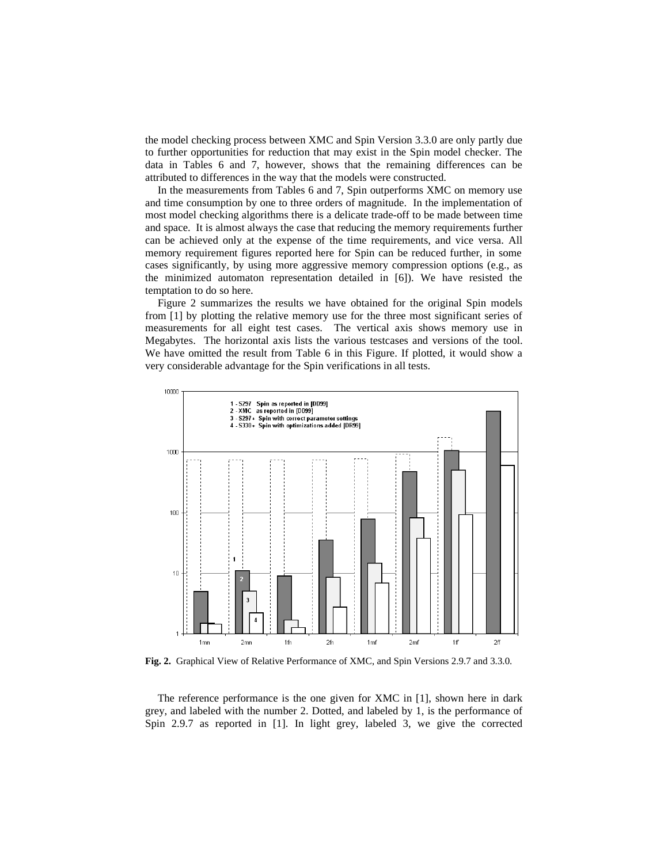the model checking process between XMC and Spin Version 3.3.0 are only partly due to further opportunities for reduction that may exist in the Spin model checker. The data in Tables 6 and 7, however, shows that the remaining differences can be attributed to differences in the way that the models were constructed.

In the measurements from Tables 6 and 7, Spin outperforms XMC on memory use and time consumption by one to three orders of magnitude. In the implementation of most model checking algorithms there is a delicate trade-off to be made between time and space. It is almost always the case that reducing the memory requirements further can be achieved only at the expense of the time requirements, and vice versa. All memory requirement figures reported here for Spin can be reduced further, in some cases significantly, by using more aggressive memory compression options (e.g., as the minimized automaton representation detailed in [6]). We have resisted the temptation to do so here.

Figure 2 summarizes the results we have obtained for the original Spin models from [1] by plotting the relative memory use for the three most significant series of measurements for all eight test cases. The vertical axis shows memory use in Megabytes. The horizontal axis lists the various testcases and versions of the tool. We have omitted the result from Table 6 in this Figure. If plotted, it would show a very considerable advantage for the Spin verifications in all tests.



**Fig. 2.** Graphical View of Relative Performance of XMC, and Spin Versions 2.9.7 and 3.3.0.

The reference performance is the one given for XMC in [1], shown here in dark grey, and labeled with the number 2. Dotted, and labeled by 1, is the performance of Spin 2.9.7 as reported in [1]. In light grey, labeled 3, we give the corrected